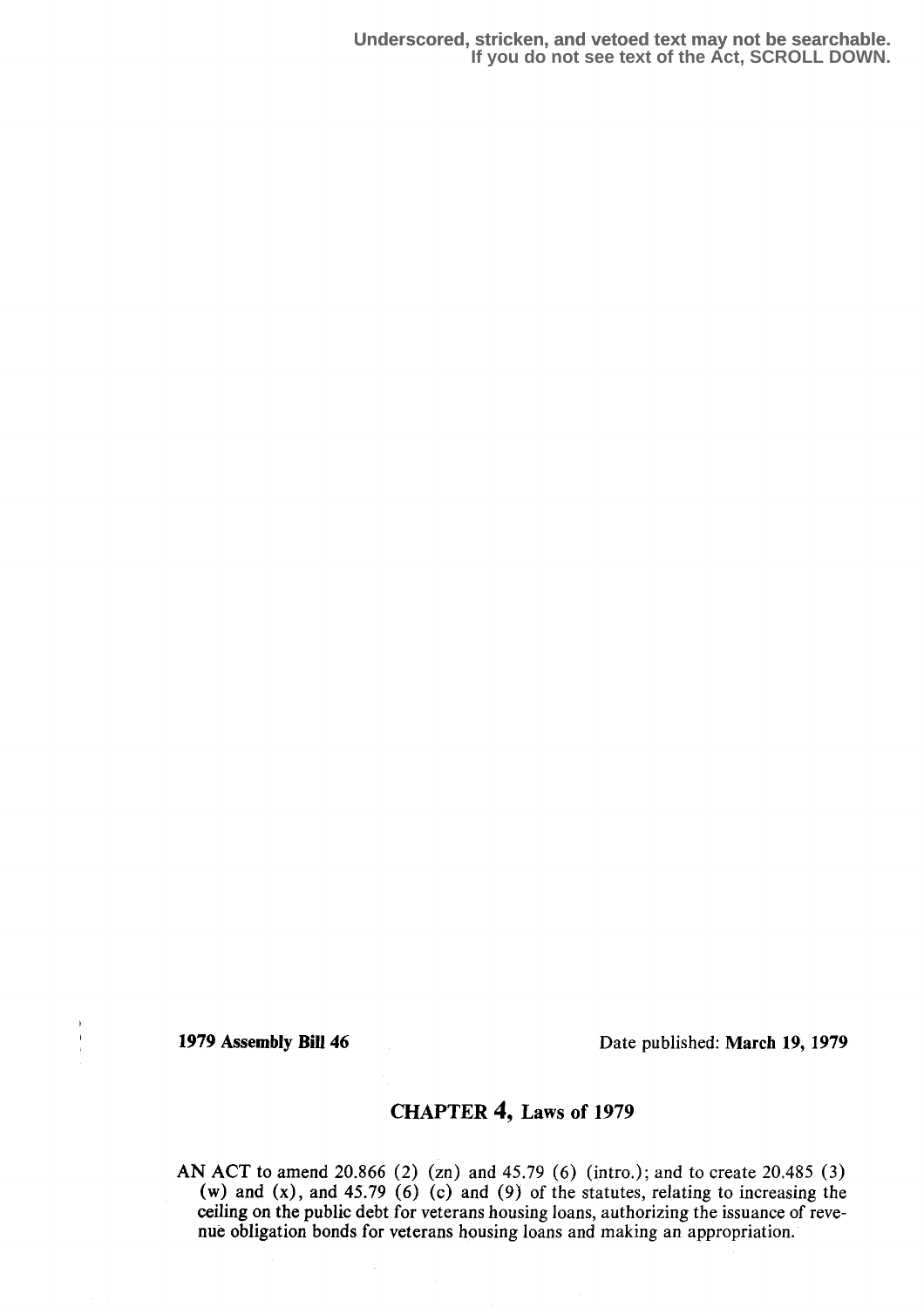**Underscored, stricken, and vetoed text may not be searchable. If you do not see text of the Act, SCROLL DOWN.**

 $\bar{\mathbf{r}}$  $\frac{1}{2}$ 

1979 Assembly Bill 46 Date published: March 19, 1979

## CHAPTER 4, Laws of 1979

AN ACT to amend 20.866 (2) (zn) and 45.79 (6) (intro.); and to create 20.485 (3) (w) and (x), and 45.79 (6) (c) and (9) of the statutes, relating to increasing the ceiling on the public debt for veterans housing loans, authorizing the issuance of revenue obligation bonds for veterans housing loans and making an appropriation.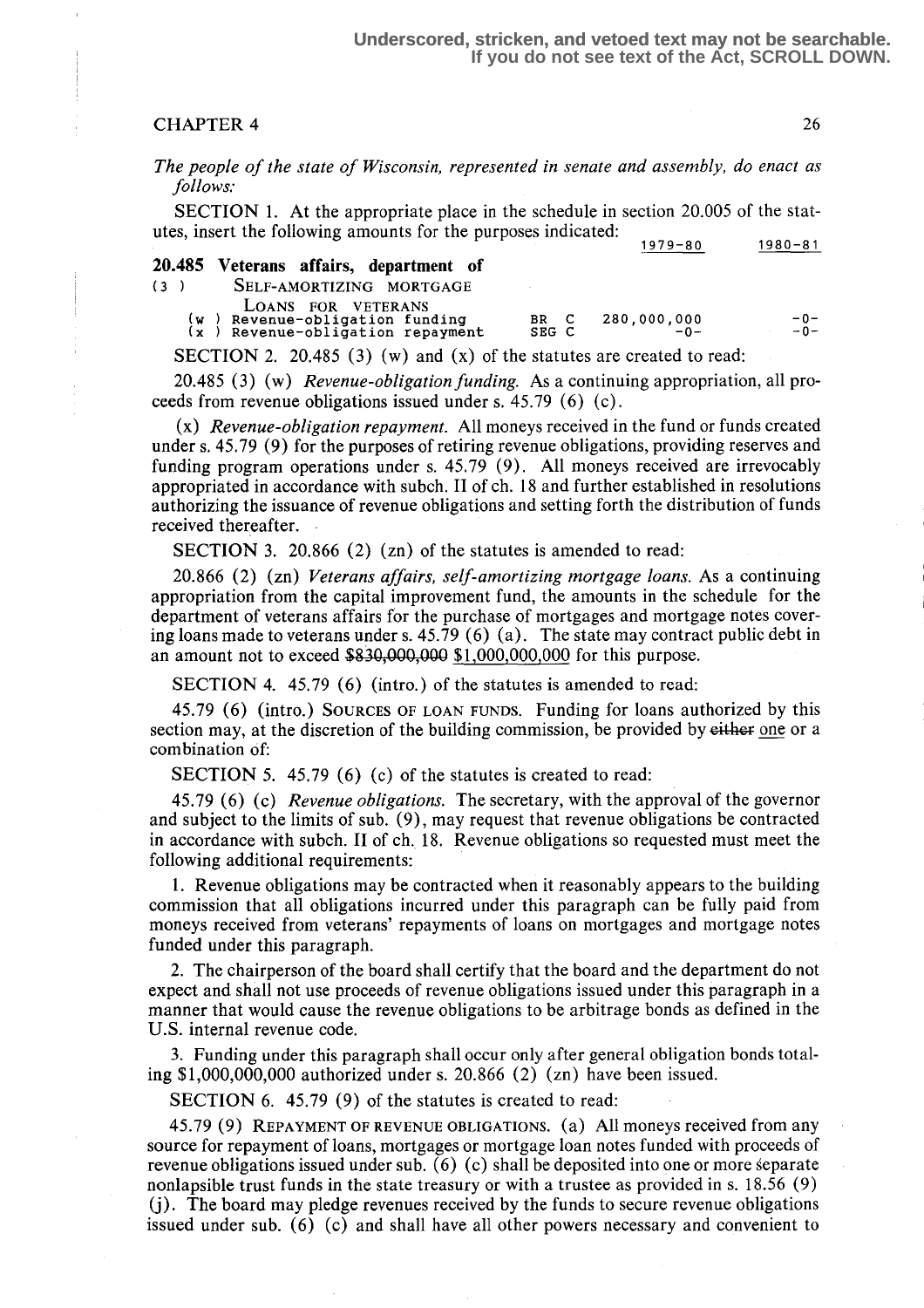## CHAPTER 4 26

The people of the state of Wisconsin, represented in senate and assembly, do enact as follows:

SECTION 1. At the appropriate place in the schedule in section 20.005 of the statutes, insert the following amounts for the purposes indicated: 1979-80 1980-81

|              |                                        |       | 1979 – 80   | $1300 - 01$ |
|--------------|----------------------------------------|-------|-------------|-------------|
|              | 20.485 Veterans affairs, department of |       |             |             |
| (3)          | SELF-AMORTIZING MORTGAGE               |       |             |             |
|              | LOANS FOR VETERANS                     |       |             |             |
| (w           | ) Revenue-obligation funding           | BR C  | 280,000,000 | $-0-$       |
| $\mathbf{x}$ | Revenue-obligation repayment           | SEG C | $-\Omega -$ | $-0-$       |
|              |                                        |       |             |             |

SECTION 2. 20.485 (3) (w) and (x) of the statutes are created to read:

20.485 (3) (w) Revenue-obligation funding. As a continuing appropriation, all proceeds from revenue obligations issued under s. 45 .79 (6) (c) .

 $(x)$  Revenue-obligation repayment. All moneys received in the fund or funds created under s. 45.79 (9) for the purposes of retiring revenue obligations, providing reserves and funding program operations under s. 45.79 (9) . All moneys received are irrevocably appropriated in accordance with subch. II of ch. 18 and further established in resolutions authorizing the issuance of revenue obligations and setting forth the distribution of funds received thereafter.

SECTION 3. 20.866 (2) (zn) of the statutes is amended to read:

20.866 (2) (zn) Veterans affairs, self-amortizing mortgage loans. As a continuing appropriation from the capital improvement fund, the amounts in the schedule for the department of veterans affairs for the purchase of mortgages and mortgage notes covering loans made to veterans under s.  $45.79(6)$  (a). The state may contract public debt in an amount not to exceed  $$830,000,000 $1,000,000,000$  for this purpose.

SECTION 4. 45.79 (6) (intro.) of the statutes is amended to read:

45.79 (6) (intro.) SOURCES OF LOAN FUNDS. Funding for loans authorized by this section may, at the discretion of the building commission, be provided by either one or a combination of:

SECTION 5. 45.79 (6) (c) of the statutes is created to read:

45.79 (6) (c) *Revenue obligations*. The secretary, with the approval of the governor and subject to the limits of sub. (9), may request that revenue obligations be contracted in accordance with subch. II of ch. 18 . Revenue obligations so requested must meet the following additional requirements:

<sup>1</sup> . Revenue obligations may be contracted when it reasonably appears to the building commission that all obligations incurred under this paragraph can be fully paid from moneys received from veterans' repayments of loans on mortgages and mortgage notes funded under this paragraph.

2. The chairperson of the board shall certify that the board and the department do not expect and shall not use proceeds of revenue obligations issued under this paragraph in a manner that would cause the revenue obligations to be arbitrage bonds as defined in the U.S. internal revenue code.

3. Funding under this paragraph shall occur only after general obligation bonds totaling \$1,000,000,000 authorized under s. 20.866 (2) (zn) have been issued .

SECTION 6. 45.79 (9) of the statutes is created to read:

45.79 (9) REPAYMENT OF REVENUE OBLIGATIONS. (a) All moneys received from any source for repayment of loans, mortgages or mortgage loan notes funded with proceeds of revenue obligations issued under sub. (6) (c) shall be deposited into one or more separate nonlapsible trust funds in the state treasury or with a trustee as provided in s. 18 .56 (9) (j) . The board may pledge revenues received by the funds to secure revenue obligations issued under sub. (6) (c) and shall have all other powers necessary and convenient to